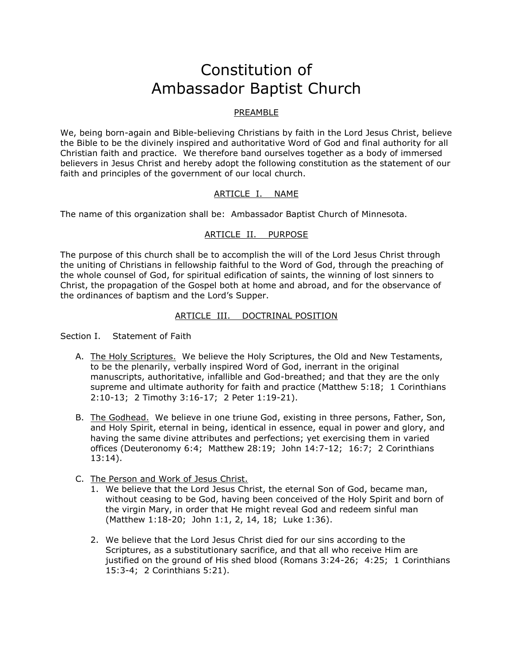# Constitution of Ambassador Baptist Church

# PREAMBLE

We, being born-again and Bible-believing Christians by faith in the Lord Jesus Christ, believe the Bible to be the divinely inspired and authoritative Word of God and final authority for all Christian faith and practice. We therefore band ourselves together as a body of immersed believers in Jesus Christ and hereby adopt the following constitution as the statement of our faith and principles of the government of our local church.

## ARTICLE I. NAME

The name of this organization shall be: Ambassador Baptist Church of Minnesota.

# ARTICLE II. PURPOSE

The purpose of this church shall be to accomplish the will of the Lord Jesus Christ through the uniting of Christians in fellowship faithful to the Word of God, through the preaching of the whole counsel of God, for spiritual edification of saints, the winning of lost sinners to Christ, the propagation of the Gospel both at home and abroad, and for the observance of the ordinances of baptism and the Lord's Supper.

# ARTICLE III. DOCTRINAL POSITION

Section I. Statement of Faith

- A. The Holy Scriptures. We believe the Holy Scriptures, the Old and New Testaments, to be the plenarily, verbally inspired Word of God, inerrant in the original manuscripts, authoritative, infallible and God-breathed; and that they are the only supreme and ultimate authority for faith and practice (Matthew 5:18; 1 Corinthians 2:10-13; 2 Timothy 3:16-17; 2 Peter 1:19-21).
- B. The Godhead. We believe in one triune God, existing in three persons, Father, Son, and Holy Spirit, eternal in being, identical in essence, equal in power and glory, and having the same divine attributes and perfections; yet exercising them in varied offices (Deuteronomy 6:4; Matthew 28:19; John 14:7-12; 16:7; 2 Corinthians 13:14).
- C. The Person and Work of Jesus Christ.
	- 1. We believe that the Lord Jesus Christ, the eternal Son of God, became man, without ceasing to be God, having been conceived of the Holy Spirit and born of the virgin Mary, in order that He might reveal God and redeem sinful man (Matthew 1:18-20; John 1:1, 2, 14, 18; Luke 1:36).
	- 2. We believe that the Lord Jesus Christ died for our sins according to the Scriptures, as a substitutionary sacrifice, and that all who receive Him are justified on the ground of His shed blood (Romans 3:24-26; 4:25; 1 Corinthians 15:3-4; 2 Corinthians 5:21).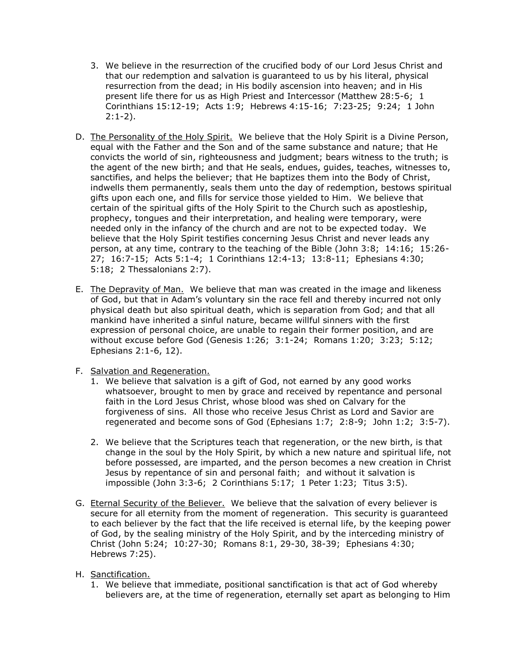- 3. We believe in the resurrection of the crucified body of our Lord Jesus Christ and that our redemption and salvation is guaranteed to us by his literal, physical resurrection from the dead; in His bodily ascension into heaven; and in His present life there for us as High Priest and Intercessor (Matthew 28:5-6; 1 Corinthians 15:12-19; Acts 1:9; Hebrews 4:15-16; 7:23-25; 9:24; 1 John  $2:1-2$ ).
- D. The Personality of the Holy Spirit. We believe that the Holy Spirit is a Divine Person, equal with the Father and the Son and of the same substance and nature; that He convicts the world of sin, righteousness and judgment; bears witness to the truth; is the agent of the new birth; and that He seals, endues, guides, teaches, witnesses to, sanctifies, and helps the believer; that He baptizes them into the Body of Christ, indwells them permanently, seals them unto the day of redemption, bestows spiritual gifts upon each one, and fills for service those yielded to Him. We believe that certain of the spiritual gifts of the Holy Spirit to the Church such as apostleship, prophecy, tongues and their interpretation, and healing were temporary, were needed only in the infancy of the church and are not to be expected today. We believe that the Holy Spirit testifies concerning Jesus Christ and never leads any person, at any time, contrary to the teaching of the Bible (John 3:8; 14:16; 15:26- 27; 16:7-15; Acts 5:1-4; 1 Corinthians 12:4-13; 13:8-11; Ephesians 4:30; 5:18; 2 Thessalonians 2:7).
- E. The Depravity of Man. We believe that man was created in the image and likeness of God, but that in Adam's voluntary sin the race fell and thereby incurred not only physical death but also spiritual death, which is separation from God; and that all mankind have inherited a sinful nature, became willful sinners with the first expression of personal choice, are unable to regain their former position, and are without excuse before God (Genesis 1:26; 3:1-24; Romans 1:20; 3:23; 5:12; Ephesians 2:1-6, 12).
- F. Salvation and Regeneration.
	- 1. We believe that salvation is a gift of God, not earned by any good works whatsoever, brought to men by grace and received by repentance and personal faith in the Lord Jesus Christ, whose blood was shed on Calvary for the forgiveness of sins. All those who receive Jesus Christ as Lord and Savior are regenerated and become sons of God (Ephesians 1:7; 2:8-9; John 1:2; 3:5-7).
	- 2. We believe that the Scriptures teach that regeneration, or the new birth, is that change in the soul by the Holy Spirit, by which a new nature and spiritual life, not before possessed, are imparted, and the person becomes a new creation in Christ Jesus by repentance of sin and personal faith; and without it salvation is impossible (John 3:3-6; 2 Corinthians 5:17; 1 Peter 1:23; Titus 3:5).
- G. Eternal Security of the Believer. We believe that the salvation of every believer is secure for all eternity from the moment of regeneration. This security is guaranteed to each believer by the fact that the life received is eternal life, by the keeping power of God, by the sealing ministry of the Holy Spirit, and by the interceding ministry of Christ (John 5:24; 10:27-30; Romans 8:1, 29-30, 38-39; Ephesians 4:30; Hebrews 7:25).
- H. Sanctification.
	- 1. We believe that immediate, positional sanctification is that act of God whereby believers are, at the time of regeneration, eternally set apart as belonging to Him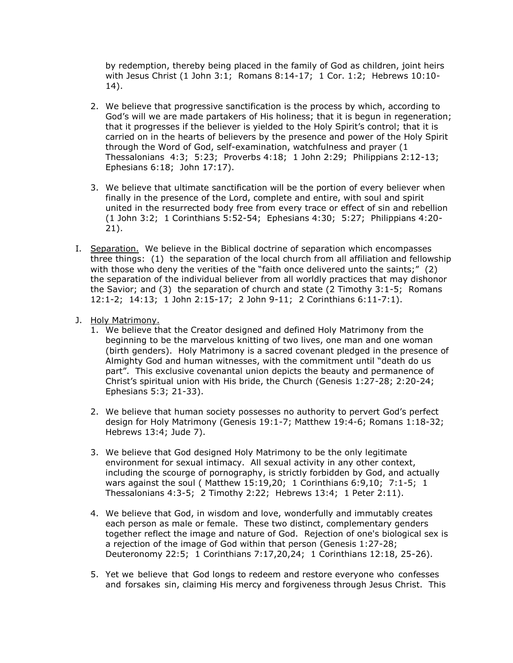by redemption, thereby being placed in the family of God as children, joint heirs with Jesus Christ (1 John 3:1; Romans 8:14-17; 1 Cor. 1:2; Hebrews 10:10- 14).

- 2. We believe that progressive sanctification is the process by which, according to God's will we are made partakers of His holiness; that it is begun in regeneration; that it progresses if the believer is yielded to the Holy Spirit's control; that it is carried on in the hearts of believers by the presence and power of the Holy Spirit through the Word of God, self-examination, watchfulness and prayer (1 Thessalonians 4:3; 5:23; Proverbs 4:18; 1 John 2:29; Philippians 2:12-13; Ephesians 6:18; John 17:17).
- 3. We believe that ultimate sanctification will be the portion of every believer when finally in the presence of the Lord, complete and entire, with soul and spirit united in the resurrected body free from every trace or effect of sin and rebellion (1 John 3:2; 1 Corinthians 5:52-54; Ephesians 4:30; 5:27; Philippians 4:20- 21).
- I. Separation. We believe in the Biblical doctrine of separation which encompasses three things: (1) the separation of the local church from all affiliation and fellowship with those who deny the verities of the "faith once delivered unto the saints;" (2) the separation of the individual believer from all worldly practices that may dishonor the Savior; and (3) the separation of church and state (2 Timothy 3:1-5; Romans 12:1-2; 14:13; 1 John 2:15-17; 2 John 9-11; 2 Corinthians 6:11-7:1).
- J. Holy Matrimony.
	- 1. We believe that the Creator designed and defined Holy Matrimony from the beginning to be the marvelous knitting of two lives, one man and one woman (birth genders). Holy Matrimony is a sacred covenant pledged in the presence of Almighty God and human witnesses, with the commitment until "death do us part". This exclusive covenantal union depicts the beauty and permanence of Christ's spiritual union with His bride, the Church (Genesis 1:27-28; 2:20-24; Ephesians 5:3; 21-33).
	- 2. We believe that human society possesses no authority to pervert God's perfect design for Holy Matrimony (Genesis 19:1-7; Matthew 19:4-6; Romans 1:18-32; Hebrews 13:4; Jude 7).
	- 3. We believe that God designed Holy Matrimony to be the only legitimate environment for sexual intimacy. All sexual activity in any other context, including the scourge of pornography, is strictly forbidden by God, and actually wars against the soul ( Matthew 15:19,20; 1 Corinthians 6:9,10; 7:1-5; 1 Thessalonians 4:3-5; 2 Timothy 2:22; Hebrews 13:4; 1 Peter 2:11).
	- 4. We believe that God, in wisdom and love, wonderfully and immutably creates each person as male or female. These two distinct, complementary genders together reflect the image and nature of God. Rejection of one's biological sex is a rejection of the image of God within that person (Genesis 1:27-28; Deuteronomy 22:5; 1 Corinthians 7:17,20,24; 1 Corinthians 12:18, 25-26).
	- 5. Yet we believe that God longs to redeem and restore everyone who confesses and forsakes sin, claiming His mercy and forgiveness through Jesus Christ. This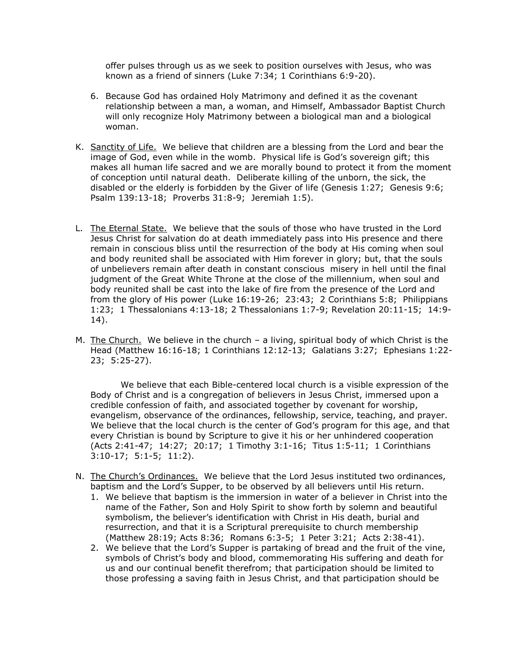offer pulses through us as we seek to position ourselves with Jesus, who was known as a friend of sinners (Luke 7:34; 1 Corinthians 6:9-20).

- 6. Because God has ordained Holy Matrimony and defined it as the covenant relationship between a man, a woman, and Himself, Ambassador Baptist Church will only recognize Holy Matrimony between a biological man and a biological woman.
- K. Sanctity of Life. We believe that children are a blessing from the Lord and bear the image of God, even while in the womb. Physical life is God's sovereign gift; this makes all human life sacred and we are morally bound to protect it from the moment of conception until natural death. Deliberate killing of the unborn, the sick, the disabled or the elderly is forbidden by the Giver of life (Genesis 1:27; Genesis 9:6; Psalm 139:13-18; Proverbs 31:8-9; Jeremiah 1:5).
- L. The Eternal State. We believe that the souls of those who have trusted in the Lord Jesus Christ for salvation do at death immediately pass into His presence and there remain in conscious bliss until the resurrection of the body at His coming when soul and body reunited shall be associated with Him forever in glory; but, that the souls of unbelievers remain after death in constant conscious misery in hell until the final judgment of the Great White Throne at the close of the millennium, when soul and body reunited shall be cast into the lake of fire from the presence of the Lord and from the glory of His power (Luke 16:19-26; 23:43; 2 Corinthians 5:8; Philippians 1:23; 1 Thessalonians 4:13-18; 2 Thessalonians 1:7-9; Revelation 20:11-15; 14:9- 14).
- M. The Church. We believe in the church  $-$  a living, spiritual body of which Christ is the Head (Matthew 16:16-18; 1 Corinthians 12:12-13; Galatians 3:27; Ephesians 1:22- 23; 5:25-27).

We believe that each Bible-centered local church is a visible expression of the Body of Christ and is a congregation of believers in Jesus Christ, immersed upon a credible confession of faith, and associated together by covenant for worship, evangelism, observance of the ordinances, fellowship, service, teaching, and prayer. We believe that the local church is the center of God's program for this age, and that every Christian is bound by Scripture to give it his or her unhindered cooperation (Acts 2:41-47; 14:27; 20:17; 1 Timothy 3:1-16; Titus 1:5-11; 1 Corinthians 3:10-17; 5:1-5; 11:2).

- N. The Church's Ordinances. We believe that the Lord Jesus instituted two ordinances, baptism and the Lord's Supper, to be observed by all believers until His return.
	- 1. We believe that baptism is the immersion in water of a believer in Christ into the name of the Father, Son and Holy Spirit to show forth by solemn and beautiful symbolism, the believer's identification with Christ in His death, burial and resurrection, and that it is a Scriptural prerequisite to church membership (Matthew 28:19; Acts 8:36; Romans 6:3-5; 1 Peter 3:21; Acts 2:38-41).
	- 2. We believe that the Lord's Supper is partaking of bread and the fruit of the vine, symbols of Christ's body and blood, commemorating His suffering and death for us and our continual benefit therefrom; that participation should be limited to those professing a saving faith in Jesus Christ, and that participation should be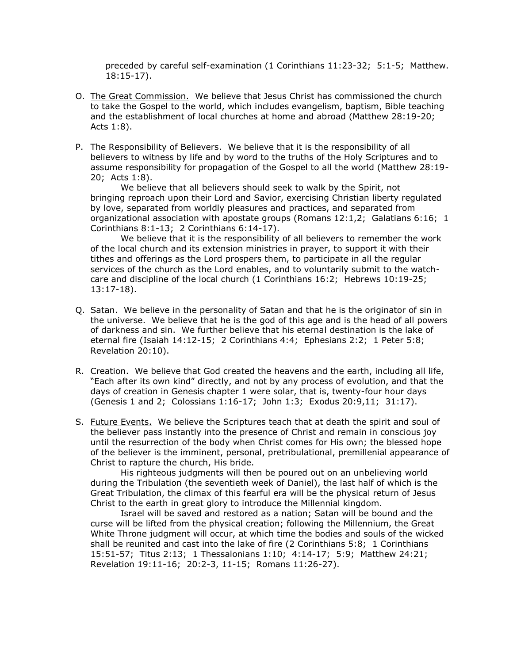preceded by careful self-examination (1 Corinthians 11:23-32; 5:1-5; Matthew. 18:15-17).

- O. The Great Commission. We believe that Jesus Christ has commissioned the church to take the Gospel to the world, which includes evangelism, baptism, Bible teaching and the establishment of local churches at home and abroad (Matthew 28:19-20; Acts 1:8).
- P. The Responsibility of Believers. We believe that it is the responsibility of all believers to witness by life and by word to the truths of the Holy Scriptures and to assume responsibility for propagation of the Gospel to all the world (Matthew 28:19- 20; Acts 1:8).

We believe that all believers should seek to walk by the Spirit, not bringing reproach upon their Lord and Savior, exercising Christian liberty regulated by love, separated from worldly pleasures and practices, and separated from organizational association with apostate groups (Romans 12:1,2; Galatians 6:16; 1 Corinthians 8:1-13; 2 Corinthians 6:14-17).

We believe that it is the responsibility of all believers to remember the work of the local church and its extension ministries in prayer, to support it with their tithes and offerings as the Lord prospers them, to participate in all the regular services of the church as the Lord enables, and to voluntarily submit to the watchcare and discipline of the local church (1 Corinthians 16:2; Hebrews 10:19-25; 13:17-18).

- Q. Satan. We believe in the personality of Satan and that he is the originator of sin in the universe. We believe that he is the god of this age and is the head of all powers of darkness and sin. We further believe that his eternal destination is the lake of eternal fire (Isaiah 14:12-15; 2 Corinthians 4:4; Ephesians 2:2; 1 Peter 5:8; Revelation 20:10).
- R. Creation. We believe that God created the heavens and the earth, including all life, "Each after its own kind" directly, and not by any process of evolution, and that the days of creation in Genesis chapter 1 were solar, that is, twenty-four hour days (Genesis 1 and 2; Colossians 1:16-17; John 1:3; Exodus 20:9,11; 31:17).
- S. Future Events. We believe the Scriptures teach that at death the spirit and soul of the believer pass instantly into the presence of Christ and remain in conscious joy until the resurrection of the body when Christ comes for His own; the blessed hope of the believer is the imminent, personal, pretribulational, premillenial appearance of Christ to rapture the church, His bride.

His righteous judgments will then be poured out on an unbelieving world during the Tribulation (the seventieth week of Daniel), the last half of which is the Great Tribulation, the climax of this fearful era will be the physical return of Jesus Christ to the earth in great glory to introduce the Millennial kingdom.

Israel will be saved and restored as a nation; Satan will be bound and the curse will be lifted from the physical creation; following the Millennium, the Great White Throne judgment will occur, at which time the bodies and souls of the wicked shall be reunited and cast into the lake of fire (2 Corinthians 5:8; 1 Corinthians 15:51-57; Titus 2:13; 1 Thessalonians 1:10; 4:14-17; 5:9; Matthew 24:21; Revelation 19:11-16; 20:2-3, 11-15; Romans 11:26-27).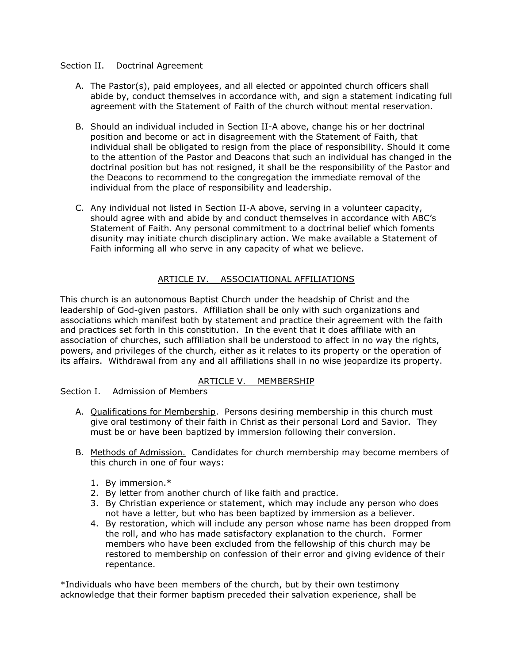#### Section II. Doctrinal Agreement

- A. The Pastor(s), paid employees, and all elected or appointed church officers shall abide by, conduct themselves in accordance with, and sign a statement indicating full agreement with the Statement of Faith of the church without mental reservation.
- B. Should an individual included in Section II-A above, change his or her doctrinal position and become or act in disagreement with the Statement of Faith, that individual shall be obligated to resign from the place of responsibility. Should it come to the attention of the Pastor and Deacons that such an individual has changed in the doctrinal position but has not resigned, it shall be the responsibility of the Pastor and the Deacons to recommend to the congregation the immediate removal of the individual from the place of responsibility and leadership.
- C. Any individual not listed in Section II-A above, serving in a volunteer capacity, should agree with and abide by and conduct themselves in accordance with ABC's Statement of Faith. Any personal commitment to a doctrinal belief which foments disunity may initiate church disciplinary action. We make available a Statement of Faith informing all who serve in any capacity of what we believe.

# ARTICLE IV. ASSOCIATIONAL AFFILIATIONS

This church is an autonomous Baptist Church under the headship of Christ and the leadership of God-given pastors. Affiliation shall be only with such organizations and associations which manifest both by statement and practice their agreement with the faith and practices set forth in this constitution. In the event that it does affiliate with an association of churches, such affiliation shall be understood to affect in no way the rights, powers, and privileges of the church, either as it relates to its property or the operation of its affairs. Withdrawal from any and all affiliations shall in no wise jeopardize its property.

## ARTICLE V. MEMBERSHIP

Section I. Admission of Members

- A. Qualifications for Membership. Persons desiring membership in this church must give oral testimony of their faith in Christ as their personal Lord and Savior. They must be or have been baptized by immersion following their conversion.
- B. Methods of Admission. Candidates for church membership may become members of this church in one of four ways:
	- 1. By immersion.\*
	- 2. By letter from another church of like faith and practice.
	- 3. By Christian experience or statement, which may include any person who does not have a letter, but who has been baptized by immersion as a believer.
	- 4. By restoration, which will include any person whose name has been dropped from the roll, and who has made satisfactory explanation to the church. Former members who have been excluded from the fellowship of this church may be restored to membership on confession of their error and giving evidence of their repentance.

\*Individuals who have been members of the church, but by their own testimony acknowledge that their former baptism preceded their salvation experience, shall be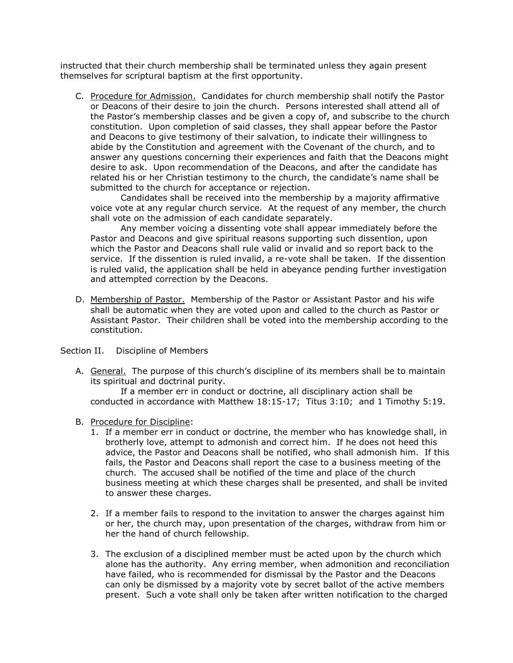instructed that their church membership shall be terminated unless they again present themselves for scriptural baptism at the first opportunity.

C. Procedure for Admission. Candidates for church membership shall notify the Pastor or Deacons of their desire to join the church. Persons interested shall attend all of the Pastor's membership classes and be given a copy of, and subscribe to the church constitution. Upon completion of said classes, they shall appear before the Pastor and Deacons to give testimony of their salvation, to indicate their willingness to abide by the Constitution and agreement with the Covenant of the church, and to answer any questions concerning their experiences and faith that the Deacons might desire to ask. Upon recommendation of the Deacons, and after the candidate has related his or her Christian testimony to the church, the candidate's name shall be submitted to the church for acceptance or rejection.

Candidates shall be received into the membership by a majority affirmative voice vote at any regular church service. At the request of any member, the church shall vote on the admission of each candidate separately.

Any member voicing a dissenting vote shall appear immediately before the Pastor and Deacons and give spiritual reasons supporting such dissention, upon which the Pastor and Deacons shall rule valid or invalid and so report back to the service. If the dissention is ruled invalid, a re-vote shall be taken. If the dissention is ruled valid, the application shall be held in abeyance pending further investigation and attempted correction by the Deacons.

D. Membership of Pastor. Membership of the Pastor or Assistant Pastor and his wife shall be automatic when they are voted upon and called to the church as Pastor or Assistant Pastor. Their children shall be voted into the membership according to the constitution.

## Section II. Discipline of Members

A. General. The purpose of this church's discipline of its members shall be to maintain its spiritual and doctrinal purity.

If a member err in conduct or doctrine, all disciplinary action shall be conducted in accordance with Matthew 18:15-17; Titus 3:10; and 1 Timothy 5:19.

- B. Procedure for Discipline:
	- 1. If a member err in conduct or doctrine, the member who has knowledge shall, in brotherly love, attempt to admonish and correct him. If he does not heed this advice, the Pastor and Deacons shall be notified, who shall admonish him. If this fails, the Pastor and Deacons shall report the case to a business meeting of the church. The accused shall be notified of the time and place of the church business meeting at which these charges shall be presented, and shall be invited to answer these charges.
	- 2. If a member fails to respond to the invitation to answer the charges against him or her, the church may, upon presentation of the charges, withdraw from him or her the hand of church fellowship.
	- 3. The exclusion of a disciplined member must be acted upon by the church which alone has the authority. Any erring member, when admonition and reconciliation have failed, who is recommended for dismissal by the Pastor and the Deacons can only be dismissed by a majority vote by secret ballot of the active members present. Such a vote shall only be taken after written notification to the charged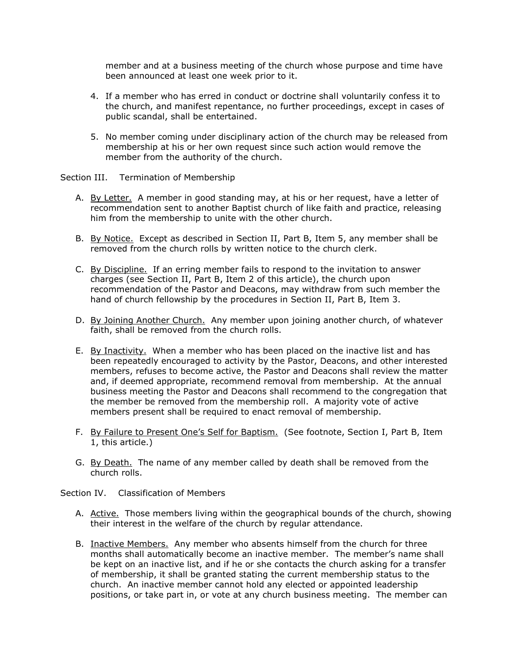member and at a business meeting of the church whose purpose and time have been announced at least one week prior to it.

- 4. If a member who has erred in conduct or doctrine shall voluntarily confess it to the church, and manifest repentance, no further proceedings, except in cases of public scandal, shall be entertained.
- 5. No member coming under disciplinary action of the church may be released from membership at his or her own request since such action would remove the member from the authority of the church.

## Section III. Termination of Membership

- A. By Letter. A member in good standing may, at his or her request, have a letter of recommendation sent to another Baptist church of like faith and practice, releasing him from the membership to unite with the other church.
- B. By Notice. Except as described in Section II, Part B, Item 5, any member shall be removed from the church rolls by written notice to the church clerk.
- C. By Discipline. If an erring member fails to respond to the invitation to answer charges (see Section II, Part B, Item 2 of this article), the church upon recommendation of the Pastor and Deacons, may withdraw from such member the hand of church fellowship by the procedures in Section II, Part B, Item 3.
- D. By Joining Another Church. Any member upon joining another church, of whatever faith, shall be removed from the church rolls.
- E. By Inactivity. When a member who has been placed on the inactive list and has been repeatedly encouraged to activity by the Pastor, Deacons, and other interested members, refuses to become active, the Pastor and Deacons shall review the matter and, if deemed appropriate, recommend removal from membership. At the annual business meeting the Pastor and Deacons shall recommend to the congregation that the member be removed from the membership roll. A majority vote of active members present shall be required to enact removal of membership.
- F. By Failure to Present One's Self for Baptism. (See footnote, Section I, Part B, Item 1, this article.)
- G. By Death. The name of any member called by death shall be removed from the church rolls.

Section IV. Classification of Members

- A. Active. Those members living within the geographical bounds of the church, showing their interest in the welfare of the church by regular attendance.
- B. Inactive Members. Any member who absents himself from the church for three months shall automatically become an inactive member. The member's name shall be kept on an inactive list, and if he or she contacts the church asking for a transfer of membership, it shall be granted stating the current membership status to the church. An inactive member cannot hold any elected or appointed leadership positions, or take part in, or vote at any church business meeting. The member can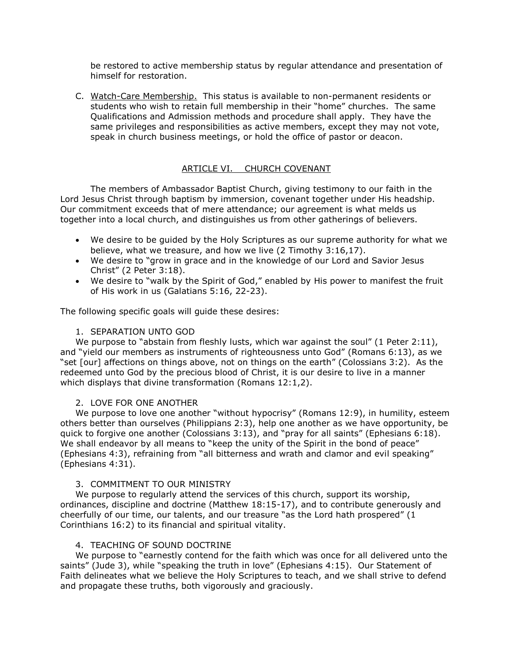be restored to active membership status by regular attendance and presentation of himself for restoration.

C. Watch-Care Membership. This status is available to non-permanent residents or students who wish to retain full membership in their "home" churches. The same Qualifications and Admission methods and procedure shall apply. They have the same privileges and responsibilities as active members, except they may not vote, speak in church business meetings, or hold the office of pastor or deacon.

## ARTICLE VI. CHURCH COVENANT

The members of Ambassador Baptist Church, giving testimony to our faith in the Lord Jesus Christ through baptism by immersion, covenant together under His headship. Our commitment exceeds that of mere attendance; our agreement is what melds us together into a local church, and distinguishes us from other gatherings of believers.

- We desire to be guided by the Holy Scriptures as our supreme authority for what we believe, what we treasure, and how we live (2 Timothy 3:16,17).
- We desire to "grow in grace and in the knowledge of our Lord and Savior Jesus Christ" (2 Peter 3:18).
- We desire to "walk by the Spirit of God," enabled by His power to manifest the fruit of His work in us (Galatians 5:16, 22-23).

The following specific goals will guide these desires:

#### 1. SEPARATION UNTO GOD

We purpose to "abstain from fleshly lusts, which war against the soul" (1 Peter 2:11), and "yield our members as instruments of righteousness unto God" (Romans 6:13), as we "set [our] affections on things above, not on things on the earth" (Colossians 3:2). As the redeemed unto God by the precious blood of Christ, it is our desire to live in a manner which displays that divine transformation (Romans 12:1,2).

#### 2. LOVE FOR ONE ANOTHER

We purpose to love one another "without hypocrisy" (Romans 12:9), in humility, esteem others better than ourselves (Philippians 2:3), help one another as we have opportunity, be quick to forgive one another (Colossians 3:13), and "pray for all saints" (Ephesians 6:18). We shall endeavor by all means to "keep the unity of the Spirit in the bond of peace" (Ephesians 4:3), refraining from "all bitterness and wrath and clamor and evil speaking" (Ephesians 4:31).

#### 3. COMMITMENT TO OUR MINISTRY

We purpose to regularly attend the services of this church, support its worship, ordinances, discipline and doctrine (Matthew 18:15-17), and to contribute generously and cheerfully of our time, our talents, and our treasure "as the Lord hath prospered" (1 Corinthians 16:2) to its financial and spiritual vitality.

#### 4. TEACHING OF SOUND DOCTRINE

We purpose to "earnestly contend for the faith which was once for all delivered unto the saints" (Jude 3), while "speaking the truth in love" (Ephesians 4:15). Our Statement of Faith delineates what we believe the Holy Scriptures to teach, and we shall strive to defend and propagate these truths, both vigorously and graciously.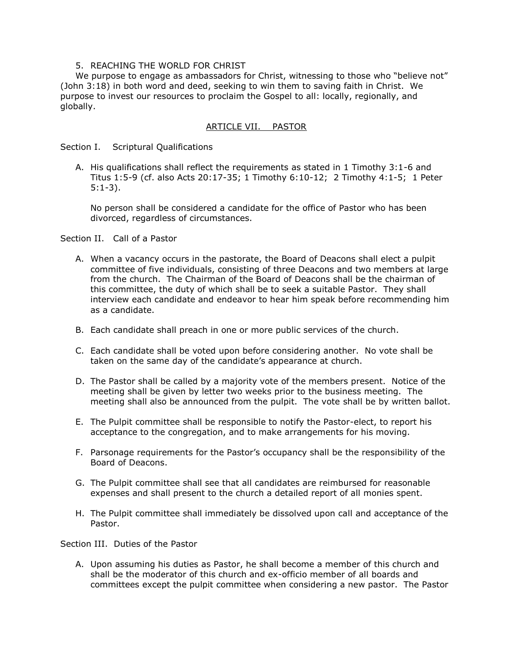#### 5. REACHING THE WORLD FOR CHRIST

We purpose to engage as ambassadors for Christ, witnessing to those who "believe not" (John 3:18) in both word and deed, seeking to win them to saving faith in Christ. We purpose to invest our resources to proclaim the Gospel to all: locally, regionally, and globally.

## ARTICLE VII. PASTOR

Section I. Scriptural Qualifications

A. His qualifications shall reflect the requirements as stated in 1 Timothy 3:1-6 and Titus 1:5-9 (cf. also Acts 20:17-35; 1 Timothy 6:10-12; 2 Timothy 4:1-5; 1 Peter 5:1-3).

No person shall be considered a candidate for the office of Pastor who has been divorced, regardless of circumstances.

Section II. Call of a Pastor

- A. When a vacancy occurs in the pastorate, the Board of Deacons shall elect a pulpit committee of five individuals, consisting of three Deacons and two members at large from the church. The Chairman of the Board of Deacons shall be the chairman of this committee, the duty of which shall be to seek a suitable Pastor. They shall interview each candidate and endeavor to hear him speak before recommending him as a candidate.
- B. Each candidate shall preach in one or more public services of the church.
- C. Each candidate shall be voted upon before considering another. No vote shall be taken on the same day of the candidate's appearance at church.
- D. The Pastor shall be called by a majority vote of the members present. Notice of the meeting shall be given by letter two weeks prior to the business meeting. The meeting shall also be announced from the pulpit. The vote shall be by written ballot.
- E. The Pulpit committee shall be responsible to notify the Pastor-elect, to report his acceptance to the congregation, and to make arrangements for his moving.
- F. Parsonage requirements for the Pastor's occupancy shall be the responsibility of the Board of Deacons.
- G. The Pulpit committee shall see that all candidates are reimbursed for reasonable expenses and shall present to the church a detailed report of all monies spent.
- H. The Pulpit committee shall immediately be dissolved upon call and acceptance of the Pastor.

Section III. Duties of the Pastor

A. Upon assuming his duties as Pastor, he shall become a member of this church and shall be the moderator of this church and ex-officio member of all boards and committees except the pulpit committee when considering a new pastor. The Pastor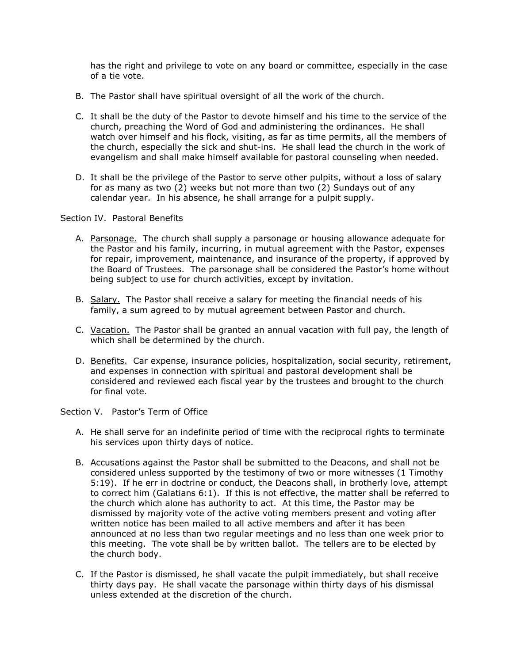has the right and privilege to vote on any board or committee, especially in the case of a tie vote.

- B. The Pastor shall have spiritual oversight of all the work of the church.
- C. It shall be the duty of the Pastor to devote himself and his time to the service of the church, preaching the Word of God and administering the ordinances. He shall watch over himself and his flock, visiting, as far as time permits, all the members of the church, especially the sick and shut-ins. He shall lead the church in the work of evangelism and shall make himself available for pastoral counseling when needed.
- D. It shall be the privilege of the Pastor to serve other pulpits, without a loss of salary for as many as two (2) weeks but not more than two (2) Sundays out of any calendar year. In his absence, he shall arrange for a pulpit supply.

#### Section IV. Pastoral Benefits

- A. Parsonage. The church shall supply a parsonage or housing allowance adequate for the Pastor and his family, incurring, in mutual agreement with the Pastor, expenses for repair, improvement, maintenance, and insurance of the property, if approved by the Board of Trustees. The parsonage shall be considered the Pastor's home without being subject to use for church activities, except by invitation.
- B. Salary. The Pastor shall receive a salary for meeting the financial needs of his family, a sum agreed to by mutual agreement between Pastor and church.
- C. Vacation. The Pastor shall be granted an annual vacation with full pay, the length of which shall be determined by the church.
- D. Benefits. Car expense, insurance policies, hospitalization, social security, retirement, and expenses in connection with spiritual and pastoral development shall be considered and reviewed each fiscal year by the trustees and brought to the church for final vote.

## Section V. Pastor's Term of Office

- A. He shall serve for an indefinite period of time with the reciprocal rights to terminate his services upon thirty days of notice.
- B. Accusations against the Pastor shall be submitted to the Deacons, and shall not be considered unless supported by the testimony of two or more witnesses (1 Timothy 5:19). If he err in doctrine or conduct, the Deacons shall, in brotherly love, attempt to correct him (Galatians 6:1). If this is not effective, the matter shall be referred to the church which alone has authority to act. At this time, the Pastor may be dismissed by majority vote of the active voting members present and voting after written notice has been mailed to all active members and after it has been announced at no less than two regular meetings and no less than one week prior to this meeting. The vote shall be by written ballot. The tellers are to be elected by the church body.
- C. If the Pastor is dismissed, he shall vacate the pulpit immediately, but shall receive thirty days pay. He shall vacate the parsonage within thirty days of his dismissal unless extended at the discretion of the church.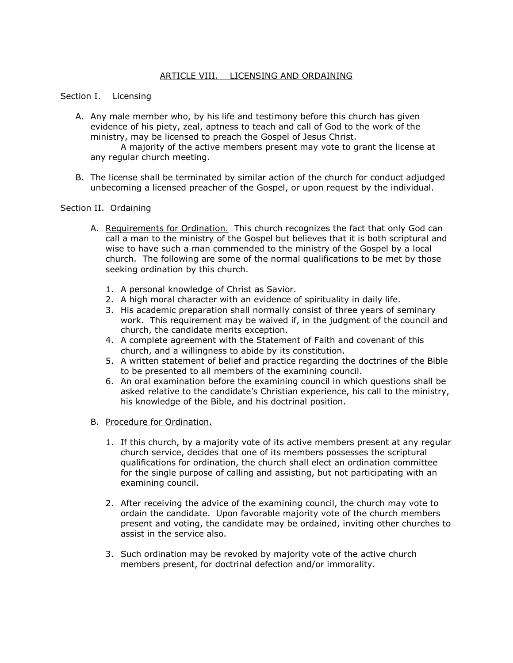# ARTICLE VIII. LICENSING AND ORDAINING

## Section I. Licensing

A. Any male member who, by his life and testimony before this church has given evidence of his piety, zeal, aptness to teach and call of God to the work of the ministry, may be licensed to preach the Gospel of Jesus Christ.

A majority of the active members present may vote to grant the license at any regular church meeting.

B. The license shall be terminated by similar action of the church for conduct adjudged unbecoming a licensed preacher of the Gospel, or upon request by the individual.

#### Section II. Ordaining

- A. Requirements for Ordination. This church recognizes the fact that only God can call a man to the ministry of the Gospel but believes that it is both scriptural and wise to have such a man commended to the ministry of the Gospel by a local church. The following are some of the normal qualifications to be met by those seeking ordination by this church.
	- 1. A personal knowledge of Christ as Savior.
	- 2. A high moral character with an evidence of spirituality in daily life.
	- 3. His academic preparation shall normally consist of three years of seminary work. This requirement may be waived if, in the judgment of the council and church, the candidate merits exception.
	- 4. A complete agreement with the Statement of Faith and covenant of this church, and a willingness to abide by its constitution.
	- 5. A written statement of belief and practice regarding the doctrines of the Bible to be presented to all members of the examining council.
	- 6. An oral examination before the examining council in which questions shall be asked relative to the candidate's Christian experience, his call to the ministry, his knowledge of the Bible, and his doctrinal position.
- B. Procedure for Ordination.
	- 1. If this church, by a majority vote of its active members present at any regular church service, decides that one of its members possesses the scriptural qualifications for ordination, the church shall elect an ordination committee for the single purpose of calling and assisting, but not participating with an examining council.
	- 2. After receiving the advice of the examining council, the church may vote to ordain the candidate. Upon favorable majority vote of the church members present and voting, the candidate may be ordained, inviting other churches to assist in the service also.
	- 3. Such ordination may be revoked by majority vote of the active church members present, for doctrinal defection and/or immorality.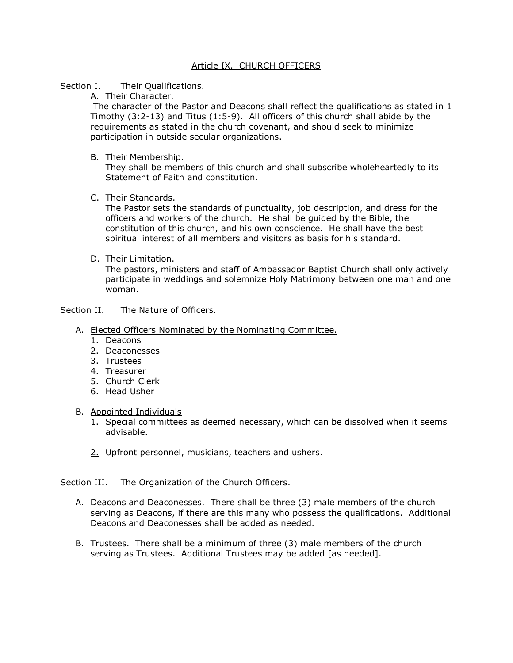## Article IX. CHURCH OFFICERS

#### Section I. Their Qualifications.

A. Their Character.

The character of the Pastor and Deacons shall reflect the qualifications as stated in 1 Timothy (3:2-13) and Titus (1:5-9). All officers of this church shall abide by the requirements as stated in the church covenant, and should seek to minimize participation in outside secular organizations.

B. Their Membership.

They shall be members of this church and shall subscribe wholeheartedly to its Statement of Faith and constitution.

C. Their Standards.

The Pastor sets the standards of punctuality, job description, and dress for the officers and workers of the church. He shall be guided by the Bible, the constitution of this church, and his own conscience. He shall have the best spiritual interest of all members and visitors as basis for his standard.

D. Their Limitation.

The pastors, ministers and staff of Ambassador Baptist Church shall only actively participate in weddings and solemnize Holy Matrimony between one man and one woman.

## Section II. The Nature of Officers.

## A. Elected Officers Nominated by the Nominating Committee.

- 1. Deacons
- 2. Deaconesses
- 3. Trustees
- 4. Treasurer
- 5. Church Clerk
- 6. Head Usher

## B. Appointed Individuals

- $1.$  Special committees as deemed necessary, which can be dissolved when it seems advisable.
- 2. Upfront personnel, musicians, teachers and ushers.

Section III. The Organization of the Church Officers.

- A. Deacons and Deaconesses. There shall be three (3) male members of the church serving as Deacons, if there are this many who possess the qualifications. Additional Deacons and Deaconesses shall be added as needed.
- B. Trustees. There shall be a minimum of three (3) male members of the church serving as Trustees. Additional Trustees may be added [as needed].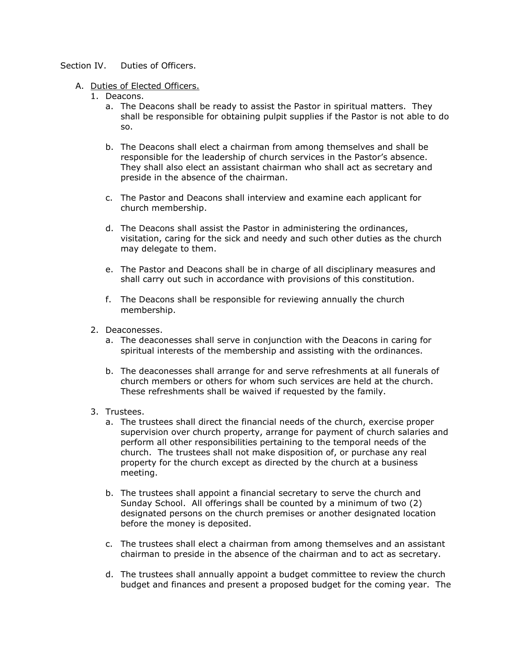#### Section IV. Duties of Officers.

#### A. Duties of Elected Officers.

- 1. Deacons.
	- a. The Deacons shall be ready to assist the Pastor in spiritual matters. They shall be responsible for obtaining pulpit supplies if the Pastor is not able to do so.
	- b. The Deacons shall elect a chairman from among themselves and shall be responsible for the leadership of church services in the Pastor's absence. They shall also elect an assistant chairman who shall act as secretary and preside in the absence of the chairman.
	- c. The Pastor and Deacons shall interview and examine each applicant for church membership.
	- d. The Deacons shall assist the Pastor in administering the ordinances, visitation, caring for the sick and needy and such other duties as the church may delegate to them.
	- e. The Pastor and Deacons shall be in charge of all disciplinary measures and shall carry out such in accordance with provisions of this constitution.
	- f. The Deacons shall be responsible for reviewing annually the church membership.
- 2. Deaconesses.
	- a. The deaconesses shall serve in conjunction with the Deacons in caring for spiritual interests of the membership and assisting with the ordinances.
	- b. The deaconesses shall arrange for and serve refreshments at all funerals of church members or others for whom such services are held at the church. These refreshments shall be waived if requested by the family.
- 3. Trustees.
	- a. The trustees shall direct the financial needs of the church, exercise proper supervision over church property, arrange for payment of church salaries and perform all other responsibilities pertaining to the temporal needs of the church. The trustees shall not make disposition of, or purchase any real property for the church except as directed by the church at a business meeting.
	- b. The trustees shall appoint a financial secretary to serve the church and Sunday School. All offerings shall be counted by a minimum of two (2) designated persons on the church premises or another designated location before the money is deposited.
	- c. The trustees shall elect a chairman from among themselves and an assistant chairman to preside in the absence of the chairman and to act as secretary.
	- d. The trustees shall annually appoint a budget committee to review the church budget and finances and present a proposed budget for the coming year. The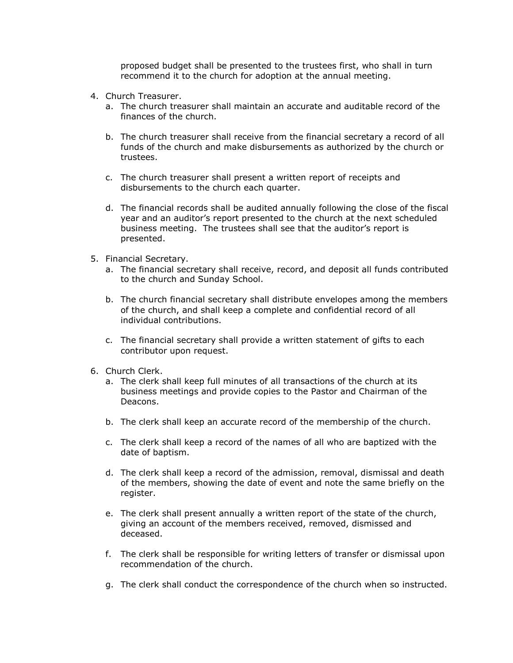proposed budget shall be presented to the trustees first, who shall in turn recommend it to the church for adoption at the annual meeting.

- 4. Church Treasurer.
	- a. The church treasurer shall maintain an accurate and auditable record of the finances of the church.
	- b. The church treasurer shall receive from the financial secretary a record of all funds of the church and make disbursements as authorized by the church or trustees.
	- c. The church treasurer shall present a written report of receipts and disbursements to the church each quarter.
	- d. The financial records shall be audited annually following the close of the fiscal year and an auditor's report presented to the church at the next scheduled business meeting. The trustees shall see that the auditor's report is presented.
- 5. Financial Secretary.
	- a. The financial secretary shall receive, record, and deposit all funds contributed to the church and Sunday School.
	- b. The church financial secretary shall distribute envelopes among the members of the church, and shall keep a complete and confidential record of all individual contributions.
	- c. The financial secretary shall provide a written statement of gifts to each contributor upon request.
- 6. Church Clerk.
	- a. The clerk shall keep full minutes of all transactions of the church at its business meetings and provide copies to the Pastor and Chairman of the Deacons.
	- b. The clerk shall keep an accurate record of the membership of the church.
	- c. The clerk shall keep a record of the names of all who are baptized with the date of baptism.
	- d. The clerk shall keep a record of the admission, removal, dismissal and death of the members, showing the date of event and note the same briefly on the register.
	- e. The clerk shall present annually a written report of the state of the church, giving an account of the members received, removed, dismissed and deceased.
	- f. The clerk shall be responsible for writing letters of transfer or dismissal upon recommendation of the church.
	- g. The clerk shall conduct the correspondence of the church when so instructed.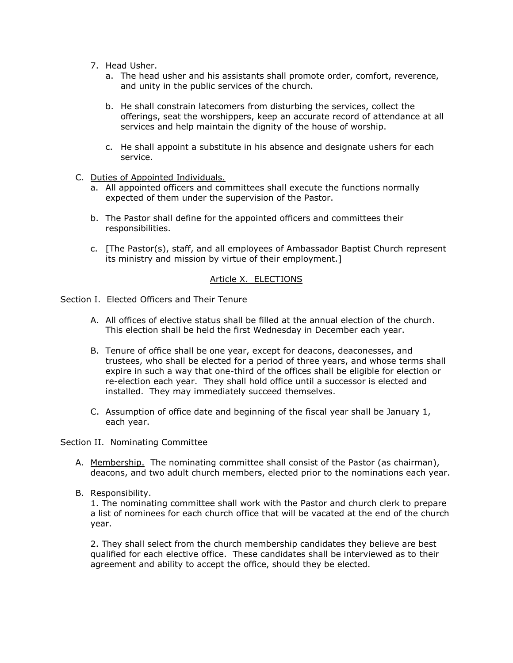- 7. Head Usher.
	- a. The head usher and his assistants shall promote order, comfort, reverence, and unity in the public services of the church.
	- b. He shall constrain latecomers from disturbing the services, collect the offerings, seat the worshippers, keep an accurate record of attendance at all services and help maintain the dignity of the house of worship.
	- c. He shall appoint a substitute in his absence and designate ushers for each service.
- C. Duties of Appointed Individuals.
	- a. All appointed officers and committees shall execute the functions normally expected of them under the supervision of the Pastor.
	- b. The Pastor shall define for the appointed officers and committees their responsibilities.
	- c. [The Pastor(s), staff, and all employees of Ambassador Baptist Church represent its ministry and mission by virtue of their employment.]

# Article X. ELECTIONS

- Section I. Elected Officers and Their Tenure
	- A. All offices of elective status shall be filled at the annual election of the church. This election shall be held the first Wednesday in December each year.
	- B. Tenure of office shall be one year, except for deacons, deaconesses, and trustees, who shall be elected for a period of three years, and whose terms shall expire in such a way that one-third of the offices shall be eligible for election or re-election each year. They shall hold office until a successor is elected and installed. They may immediately succeed themselves.
	- C. Assumption of office date and beginning of the fiscal year shall be January 1, each year.

## Section II. Nominating Committee

- A. Membership. The nominating committee shall consist of the Pastor (as chairman), deacons, and two adult church members, elected prior to the nominations each year.
- B. Responsibility.

1. The nominating committee shall work with the Pastor and church clerk to prepare a list of nominees for each church office that will be vacated at the end of the church year.

2. They shall select from the church membership candidates they believe are best qualified for each elective office. These candidates shall be interviewed as to their agreement and ability to accept the office, should they be elected.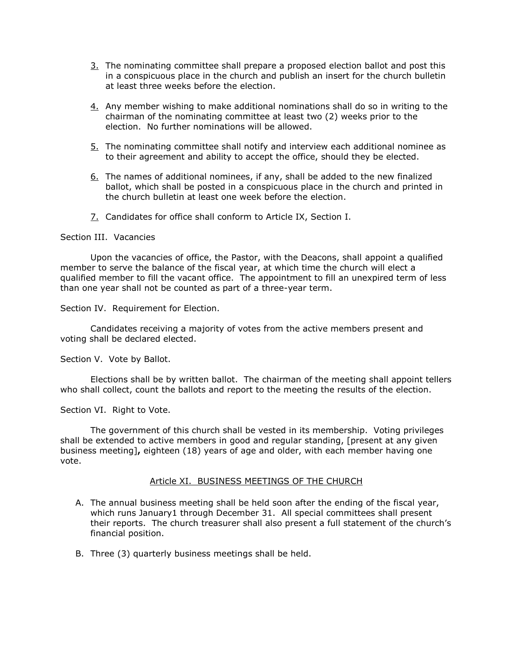- 3. The nominating committee shall prepare a proposed election ballot and post this in a conspicuous place in the church and publish an insert for the church bulletin at least three weeks before the election.
- 4. Any member wishing to make additional nominations shall do so in writing to the chairman of the nominating committee at least two (2) weeks prior to the election. No further nominations will be allowed.
- 5. The nominating committee shall notify and interview each additional nominee as to their agreement and ability to accept the office, should they be elected.
- 6. The names of additional nominees, if any, shall be added to the new finalized ballot, which shall be posted in a conspicuous place in the church and printed in the church bulletin at least one week before the election.
- 7. Candidates for office shall conform to Article IX, Section I.

#### Section III. Vacancies

Upon the vacancies of office, the Pastor, with the Deacons, shall appoint a qualified member to serve the balance of the fiscal year, at which time the church will elect a qualified member to fill the vacant office. The appointment to fill an unexpired term of less than one year shall not be counted as part of a three-year term.

Section IV. Requirement for Election.

Candidates receiving a majority of votes from the active members present and voting shall be declared elected.

Section V. Vote by Ballot.

Elections shall be by written ballot. The chairman of the meeting shall appoint tellers who shall collect, count the ballots and report to the meeting the results of the election.

## Section VI. Right to Vote.

The government of this church shall be vested in its membership. Voting privileges shall be extended to active members in good and regular standing, [present at any given business meeting]**,** eighteen (18) years of age and older, with each member having one vote.

## Article XI. BUSINESS MEETINGS OF THE CHURCH

- A. The annual business meeting shall be held soon after the ending of the fiscal year, which runs January1 through December 31. All special committees shall present their reports. The church treasurer shall also present a full statement of the church's financial position.
- B. Three (3) quarterly business meetings shall be held.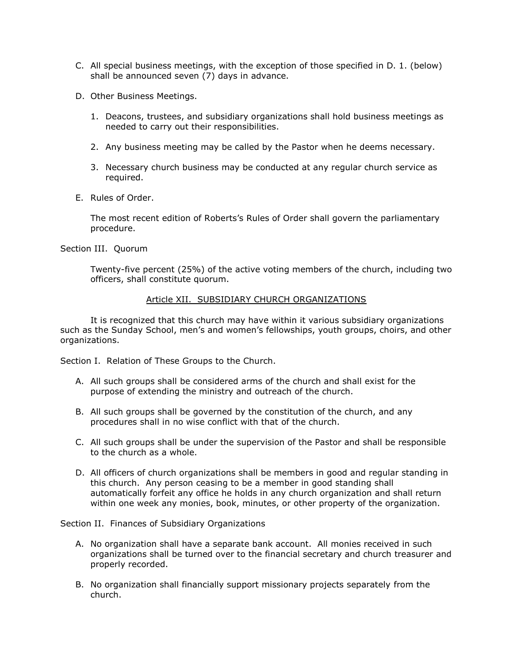- C. All special business meetings, with the exception of those specified in D. 1. (below) shall be announced seven (7) days in advance.
- D. Other Business Meetings.
	- 1. Deacons, trustees, and subsidiary organizations shall hold business meetings as needed to carry out their responsibilities.
	- 2. Any business meeting may be called by the Pastor when he deems necessary.
	- 3. Necessary church business may be conducted at any regular church service as required.
- E. Rules of Order.

The most recent edition of Roberts's Rules of Order shall govern the parliamentary procedure.

Section III. Quorum

Twenty-five percent (25%) of the active voting members of the church, including two officers, shall constitute quorum.

#### Article XII. SUBSIDIARY CHURCH ORGANIZATIONS

It is recognized that this church may have within it various subsidiary organizations such as the Sunday School, men's and women's fellowships, youth groups, choirs, and other organizations.

Section I. Relation of These Groups to the Church.

- A. All such groups shall be considered arms of the church and shall exist for the purpose of extending the ministry and outreach of the church.
- B. All such groups shall be governed by the constitution of the church, and any procedures shall in no wise conflict with that of the church.
- C. All such groups shall be under the supervision of the Pastor and shall be responsible to the church as a whole.
- D. All officers of church organizations shall be members in good and regular standing in this church. Any person ceasing to be a member in good standing shall automatically forfeit any office he holds in any church organization and shall return within one week any monies, book, minutes, or other property of the organization.

Section II. Finances of Subsidiary Organizations

- A. No organization shall have a separate bank account. All monies received in such organizations shall be turned over to the financial secretary and church treasurer and properly recorded.
- B. No organization shall financially support missionary projects separately from the church.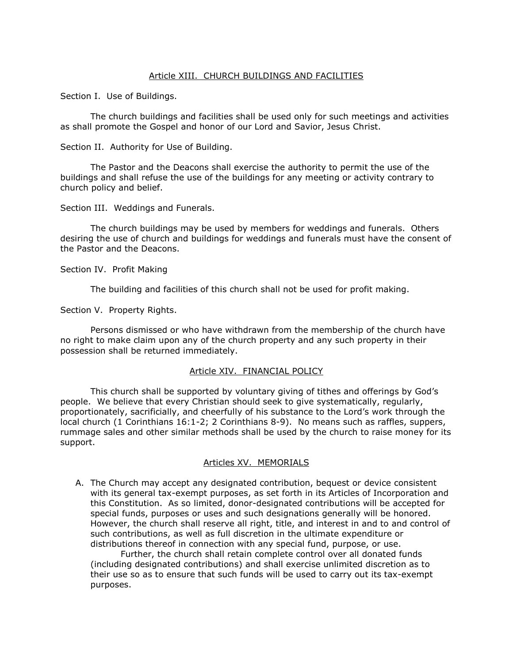#### Article XIII. CHURCH BUILDINGS AND FACILITIES

Section I. Use of Buildings.

The church buildings and facilities shall be used only for such meetings and activities as shall promote the Gospel and honor of our Lord and Savior, Jesus Christ.

Section II. Authority for Use of Building.

The Pastor and the Deacons shall exercise the authority to permit the use of the buildings and shall refuse the use of the buildings for any meeting or activity contrary to church policy and belief.

Section III. Weddings and Funerals.

The church buildings may be used by members for weddings and funerals. Others desiring the use of church and buildings for weddings and funerals must have the consent of the Pastor and the Deacons.

Section IV. Profit Making

The building and facilities of this church shall not be used for profit making.

Section V. Property Rights.

Persons dismissed or who have withdrawn from the membership of the church have no right to make claim upon any of the church property and any such property in their possession shall be returned immediately.

## Article XIV. FINANCIAL POLICY

This church shall be supported by voluntary giving of tithes and offerings by God's people. We believe that every Christian should seek to give systematically, regularly, proportionately, sacrificially, and cheerfully of his substance to the Lord's work through the local church (1 Corinthians 16:1-2; 2 Corinthians 8-9). No means such as raffles, suppers, rummage sales and other similar methods shall be used by the church to raise money for its support.

## Articles XV. MEMORIALS

A. The Church may accept any designated contribution, bequest or device consistent with its general tax-exempt purposes, as set forth in its Articles of Incorporation and this Constitution. As so limited, donor-designated contributions will be accepted for special funds, purposes or uses and such designations generally will be honored. However, the church shall reserve all right, title, and interest in and to and control of such contributions, as well as full discretion in the ultimate expenditure or distributions thereof in connection with any special fund, purpose, or use.

Further, the church shall retain complete control over all donated funds (including designated contributions) and shall exercise unlimited discretion as to their use so as to ensure that such funds will be used to carry out its tax-exempt purposes.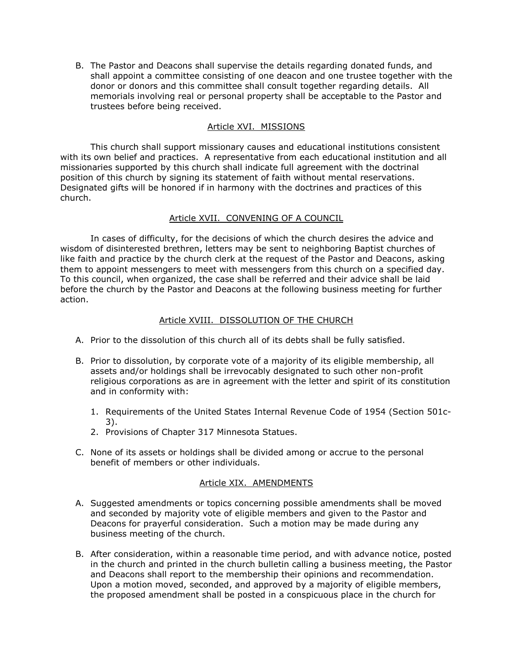B. The Pastor and Deacons shall supervise the details regarding donated funds, and shall appoint a committee consisting of one deacon and one trustee together with the donor or donors and this committee shall consult together regarding details. All memorials involving real or personal property shall be acceptable to the Pastor and trustees before being received.

# Article XVI. MISSIONS

This church shall support missionary causes and educational institutions consistent with its own belief and practices. A representative from each educational institution and all missionaries supported by this church shall indicate full agreement with the doctrinal position of this church by signing its statement of faith without mental reservations. Designated gifts will be honored if in harmony with the doctrines and practices of this church.

# Article XVII. CONVENING OF A COUNCIL

In cases of difficulty, for the decisions of which the church desires the advice and wisdom of disinterested brethren, letters may be sent to neighboring Baptist churches of like faith and practice by the church clerk at the request of the Pastor and Deacons, asking them to appoint messengers to meet with messengers from this church on a specified day. To this council, when organized, the case shall be referred and their advice shall be laid before the church by the Pastor and Deacons at the following business meeting for further action.

## Article XVIII. DISSOLUTION OF THE CHURCH

- A. Prior to the dissolution of this church all of its debts shall be fully satisfied.
- B. Prior to dissolution, by corporate vote of a majority of its eligible membership, all assets and/or holdings shall be irrevocably designated to such other non-profit religious corporations as are in agreement with the letter and spirit of its constitution and in conformity with:
	- 1. Requirements of the United States Internal Revenue Code of 1954 (Section 501c-3).
	- 2. Provisions of Chapter 317 Minnesota Statues.
- C. None of its assets or holdings shall be divided among or accrue to the personal benefit of members or other individuals.

## Article XIX. AMENDMENTS

- A. Suggested amendments or topics concerning possible amendments shall be moved and seconded by majority vote of eligible members and given to the Pastor and Deacons for prayerful consideration. Such a motion may be made during any business meeting of the church.
- B. After consideration, within a reasonable time period, and with advance notice, posted in the church and printed in the church bulletin calling a business meeting, the Pastor and Deacons shall report to the membership their opinions and recommendation. Upon a motion moved, seconded, and approved by a majority of eligible members, the proposed amendment shall be posted in a conspicuous place in the church for